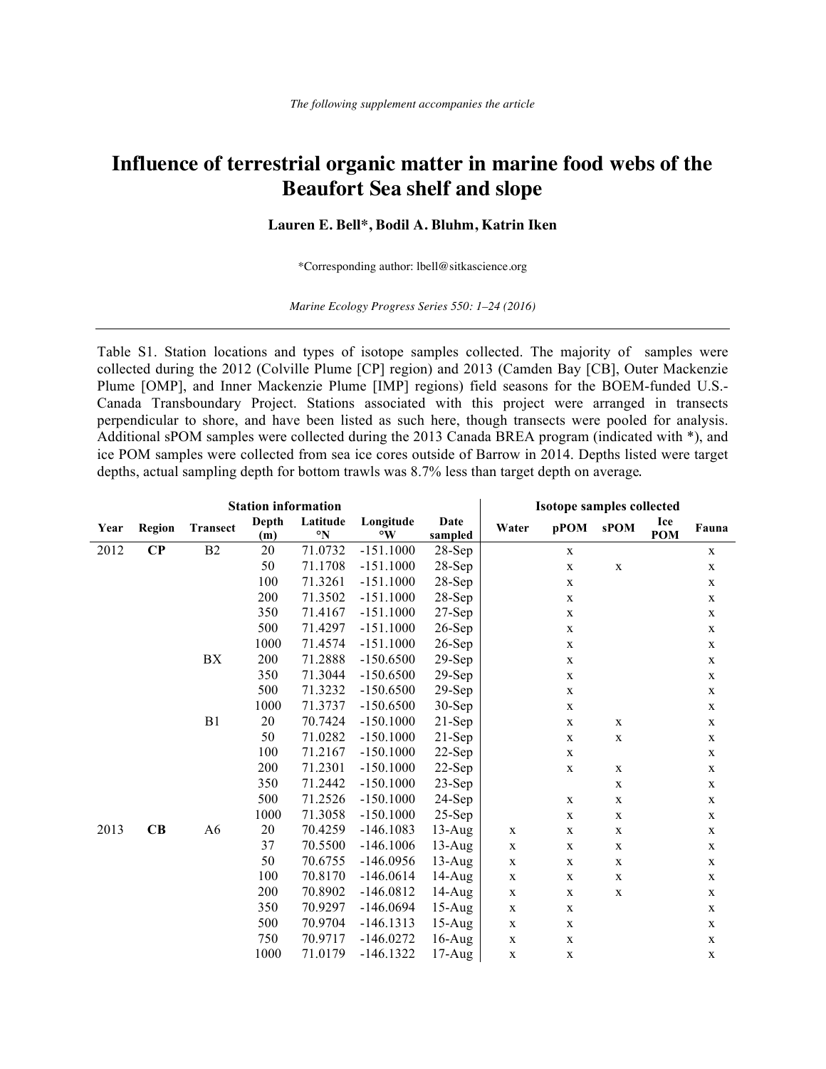## **Influence of terrestrial organic matter in marine food webs of the Beaufort Sea shelf and slope**

## **Lauren E. Bell\*, Bodil A. Bluhm, Katrin Iken**

\*Corresponding author: lbell@sitkascience.org

*Marine Ecology Progress Series 550: 1–24 (2016)*

Table S1. Station locations and types of isotope samples collected. The majority of samples were collected during the 2012 (Colville Plume [CP] region) and 2013 (Camden Bay [CB], Outer Mackenzie Plume [OMP], and Inner Mackenzie Plume [IMP] regions) field seasons for the BOEM-funded U.S.- Canada Transboundary Project. Stations associated with this project were arranged in transects perpendicular to shore, and have been listed as such here, though transects were pooled for analysis. Additional sPOM samples were collected during the 2013 Canada BREA program (indicated with \*), and ice POM samples were collected from sea ice cores outside of Barrow in 2014. Depths listed were target depths, actual sampling depth for bottom trawls was 8.7% less than target depth on average.

|      | <b>Station information</b> |                 |       |              |                      |           |             | <b>Isotope samples collected</b> |             |            |             |  |  |
|------|----------------------------|-----------------|-------|--------------|----------------------|-----------|-------------|----------------------------------|-------------|------------|-------------|--|--|
| Year | <b>Region</b>              | <b>Transect</b> | Depth | Latitude     | Longitude            | Date      | Water       | pPOM                             | <b>sPOM</b> | Ice        | Fauna       |  |  |
|      |                            |                 | (m)   | $\mathbf{N}$ | $\mathbf{^{\circ}W}$ | sampled   |             |                                  |             | <b>POM</b> |             |  |  |
| 2012 | $\bf CP$                   | B <sub>2</sub>  | 20    | 71.0732      | $-151.1000$          | $28$ -Sep |             | $\mathbf X$                      |             |            | $\mathbf X$ |  |  |
|      |                            |                 | 50    | 71.1708      | $-151.1000$          | 28-Sep    |             | $\mathbf X$                      | $\mathbf X$ |            | $\mathbf X$ |  |  |
|      |                            |                 | 100   | 71.3261      | $-151.1000$          | $28-Sep$  |             | $\mathbf X$                      |             |            | $\mathbf X$ |  |  |
|      |                            |                 | 200   | 71.3502      | $-151.1000$          | $28$ -Sep |             | $\mathbf X$                      |             |            | $\mathbf X$ |  |  |
|      |                            |                 | 350   | 71.4167      | $-151.1000$          | $27-Sep$  |             | $\mathbf X$                      |             |            | $\mathbf X$ |  |  |
|      |                            |                 | 500   | 71.4297      | $-151.1000$          | $26-Sep$  |             | $\mathbf X$                      |             |            | $\mathbf X$ |  |  |
|      |                            |                 | 1000  | 71.4574      | $-151.1000$          | $26$ -Sep |             | $\mathbf X$                      |             |            | $\mathbf X$ |  |  |
|      |                            | BX              | 200   | 71.2888      | $-150.6500$          | $29-Sep$  |             | $\mathbf X$                      |             |            | $\mathbf X$ |  |  |
|      |                            |                 | 350   | 71.3044      | $-150.6500$          | $29-Sep$  |             | $\mathbf X$                      |             |            | $\mathbf X$ |  |  |
|      |                            |                 | 500   | 71.3232      | $-150.6500$          | $29-Sep$  |             | $\mathbf X$                      |             |            | $\mathbf X$ |  |  |
|      |                            |                 | 1000  | 71.3737      | $-150.6500$          | $30-Sep$  |             | $\mathbf X$                      |             |            | $\mathbf X$ |  |  |
|      |                            | B <sub>1</sub>  | 20    | 70.7424      | $-150.1000$          | $21-Sep$  |             | $\mathbf X$                      | $\mathbf X$ |            | $\mathbf X$ |  |  |
|      |                            |                 | 50    | 71.0282      | $-150.1000$          | $21-Sep$  |             | $\mathbf X$                      | $\mathbf X$ |            | $\mathbf X$ |  |  |
|      |                            |                 | 100   | 71.2167      | $-150.1000$          | $22$ -Sep |             | $\mathbf X$                      |             |            | $\mathbf X$ |  |  |
|      |                            |                 | 200   | 71.2301      | $-150.1000$          | $22-Sep$  |             | $\mathbf X$                      | X           |            | $\mathbf X$ |  |  |
|      |                            |                 | 350   | 71.2442      | $-150.1000$          | $23$ -Sep |             |                                  | $\mathbf X$ |            | $\mathbf X$ |  |  |
|      |                            |                 | 500   | 71.2526      | $-150.1000$          | $24$ -Sep |             | $\mathbf X$                      | $\mathbf X$ |            | $\mathbf X$ |  |  |
|      |                            |                 | 1000  | 71.3058      | $-150.1000$          | $25-Sep$  |             | $\mathbf X$                      | $\mathbf X$ |            | $\mathbf X$ |  |  |
| 2013 | CB                         | A <sub>6</sub>  | 20    | 70.4259      | $-146.1083$          | $13$ -Aug | $\mathbf X$ | $\mathbf X$                      | $\mathbf X$ |            | $\mathbf X$ |  |  |
|      |                            |                 | 37    | 70.5500      | $-146.1006$          | $13$ -Aug | $\mathbf X$ | $\mathbf X$                      | $\mathbf X$ |            | $\mathbf X$ |  |  |
|      |                            |                 | 50    | 70.6755      | $-146.0956$          | $13$ -Aug | $\mathbf X$ | $\mathbf X$                      | $\mathbf X$ |            | $\mathbf X$ |  |  |
|      |                            |                 | 100   | 70.8170      | $-146.0614$          | $14-Aug$  | $\mathbf X$ | $\mathbf X$                      | X           |            | $\mathbf X$ |  |  |
|      |                            |                 | 200   | 70.8902      | $-146.0812$          | $14-Aug$  | $\mathbf X$ | $\mathbf X$                      | $\mathbf X$ |            | $\mathbf X$ |  |  |
|      |                            |                 | 350   | 70.9297      | $-146.0694$          | $15-Aug$  | $\mathbf X$ | $\mathbf X$                      |             |            | $\mathbf X$ |  |  |
|      |                            |                 | 500   | 70.9704      | $-146.1313$          | $15-Aug$  | $\mathbf X$ | $\mathbf X$                      |             |            | $\mathbf X$ |  |  |
|      |                            |                 | 750   | 70.9717      | $-146.0272$          | $16$ -Aug | $\mathbf X$ | $\mathbf X$                      |             |            | $\mathbf X$ |  |  |
|      |                            |                 | 1000  | 71.0179      | $-146.1322$          | $17$ -Aug | $\mathbf X$ | $\mathbf X$                      |             |            | $\mathbf X$ |  |  |